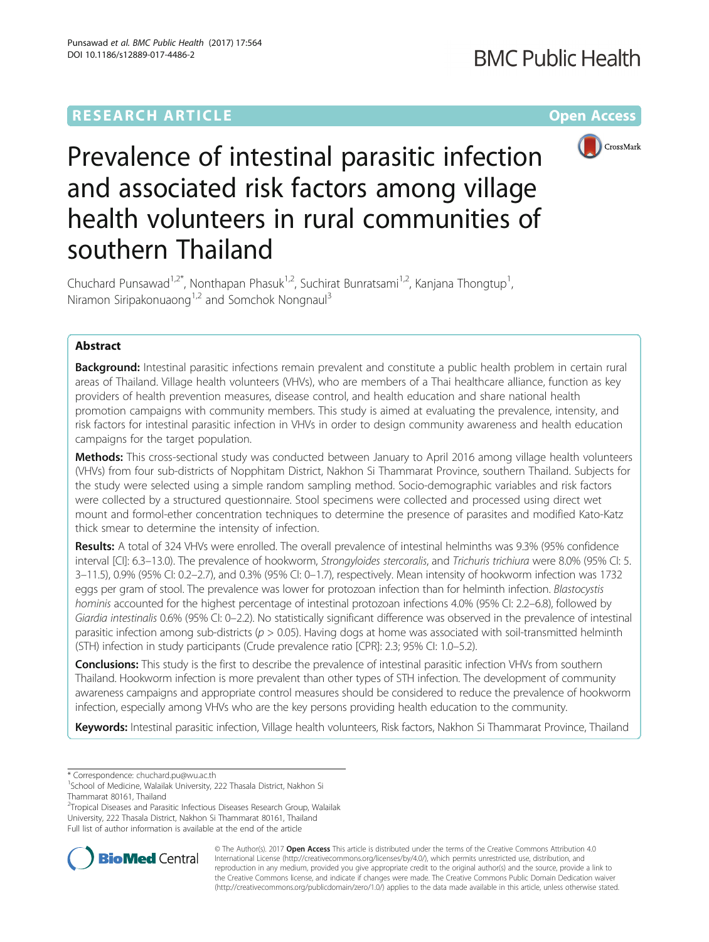# **RESEARCH ARTICLE Example 2014 12:30 The Community Community Community Community Community Community Community**



# Prevalence of intestinal parasitic infection and associated risk factors among village health volunteers in rural communities of southern Thailand

Chuchard Punsawad<sup>1,2\*</sup>, Nonthapan Phasuk<sup>1,2</sup>, Suchirat Bunratsami<sup>1,2</sup>, Kanjana Thongtup<sup>1</sup>, , Niramon Siripakonuaong<sup>1,2</sup> and Somchok Nongnaul<sup>3</sup>

## Abstract

Background: Intestinal parasitic infections remain prevalent and constitute a public health problem in certain rural areas of Thailand. Village health volunteers (VHVs), who are members of a Thai healthcare alliance, function as key providers of health prevention measures, disease control, and health education and share national health promotion campaigns with community members. This study is aimed at evaluating the prevalence, intensity, and risk factors for intestinal parasitic infection in VHVs in order to design community awareness and health education campaigns for the target population.

Methods: This cross-sectional study was conducted between January to April 2016 among village health volunteers (VHVs) from four sub-districts of Nopphitam District, Nakhon Si Thammarat Province, southern Thailand. Subjects for the study were selected using a simple random sampling method. Socio-demographic variables and risk factors were collected by a structured questionnaire. Stool specimens were collected and processed using direct wet mount and formol-ether concentration techniques to determine the presence of parasites and modified Kato-Katz thick smear to determine the intensity of infection.

Results: A total of 324 VHVs were enrolled. The overall prevalence of intestinal helminths was 9.3% (95% confidence interval [CI]: 6.3–13.0). The prevalence of hookworm, Strongyloides stercoralis, and Trichuris trichiura were 8.0% (95% CI: 5. 3–11.5), 0.9% (95% CI: 0.2–2.7), and 0.3% (95% CI: 0–1.7), respectively. Mean intensity of hookworm infection was 1732 eggs per gram of stool. The prevalence was lower for protozoan infection than for helminth infection. Blastocystis hominis accounted for the highest percentage of intestinal protozoan infections 4.0% (95% CI: 2.2–6.8), followed by Giardia intestinalis 0.6% (95% CI: 0–2.2). No statistically significant difference was observed in the prevalence of intestinal parasitic infection among sub-districts ( $p > 0.05$ ). Having dogs at home was associated with soil-transmitted helminth (STH) infection in study participants (Crude prevalence ratio [CPR]: 2.3; 95% CI: 1.0–5.2).

Conclusions: This study is the first to describe the prevalence of intestinal parasitic infection VHVs from southern Thailand. Hookworm infection is more prevalent than other types of STH infection. The development of community awareness campaigns and appropriate control measures should be considered to reduce the prevalence of hookworm infection, especially among VHVs who are the key persons providing health education to the community.

Keywords: Intestinal parasitic infection, Village health volunteers, Risk factors, Nakhon Si Thammarat Province, Thailand

<sup>2</sup> Tropical Diseases and Parasitic Infectious Diseases Research Group, Walailak University, 222 Thasala District, Nakhon Si Thammarat 80161, Thailand

Full list of author information is available at the end of the article



© The Author(s). 2017 **Open Access** This article is distributed under the terms of the Creative Commons Attribution 4.0 International License [\(http://creativecommons.org/licenses/by/4.0/](http://creativecommons.org/licenses/by/4.0/)), which permits unrestricted use, distribution, and reproduction in any medium, provided you give appropriate credit to the original author(s) and the source, provide a link to the Creative Commons license, and indicate if changes were made. The Creative Commons Public Domain Dedication waiver [\(http://creativecommons.org/publicdomain/zero/1.0/](http://creativecommons.org/publicdomain/zero/1.0/)) applies to the data made available in this article, unless otherwise stated.

<sup>\*</sup> Correspondence: [chuchard.pu@wu.ac.th](mailto:chuchard.pu@wu.ac.th) <sup>1</sup>

<sup>&</sup>lt;sup>1</sup>School of Medicine, Walailak University, 222 Thasala District, Nakhon Si Thammarat 80161, Thailand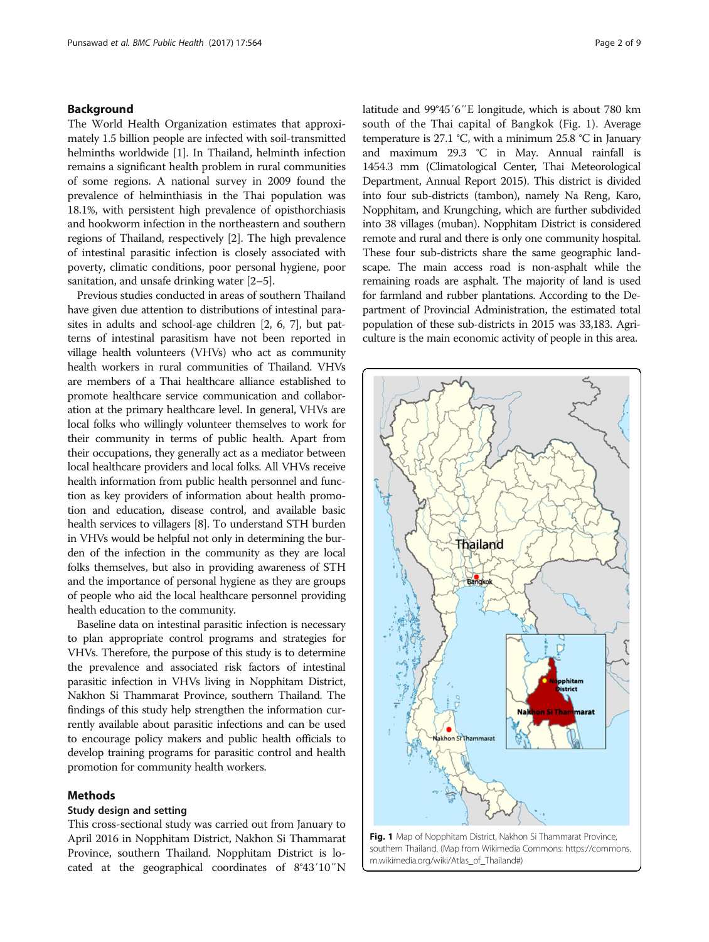## Background

The World Health Organization estimates that approximately 1.5 billion people are infected with soil-transmitted helminths worldwide [[1](#page-7-0)]. In Thailand, helminth infection remains a significant health problem in rural communities of some regions. A national survey in 2009 found the prevalence of helminthiasis in the Thai population was 18.1%, with persistent high prevalence of opisthorchiasis and hookworm infection in the northeastern and southern regions of Thailand, respectively [\[2](#page-7-0)]. The high prevalence of intestinal parasitic infection is closely associated with poverty, climatic conditions, poor personal hygiene, poor sanitation, and unsafe drinking water [\[2](#page-7-0)–[5\]](#page-7-0).

Previous studies conducted in areas of southern Thailand have given due attention to distributions of intestinal parasites in adults and school-age children [[2, 6](#page-7-0), [7](#page-7-0)], but patterns of intestinal parasitism have not been reported in village health volunteers (VHVs) who act as community health workers in rural communities of Thailand. VHVs are members of a Thai healthcare alliance established to promote healthcare service communication and collaboration at the primary healthcare level. In general, VHVs are local folks who willingly volunteer themselves to work for their community in terms of public health. Apart from their occupations, they generally act as a mediator between local healthcare providers and local folks. All VHVs receive health information from public health personnel and function as key providers of information about health promotion and education, disease control, and available basic health services to villagers [\[8\]](#page-7-0). To understand STH burden in VHVs would be helpful not only in determining the burden of the infection in the community as they are local folks themselves, but also in providing awareness of STH and the importance of personal hygiene as they are groups of people who aid the local healthcare personnel providing health education to the community.

Baseline data on intestinal parasitic infection is necessary to plan appropriate control programs and strategies for VHVs. Therefore, the purpose of this study is to determine the prevalence and associated risk factors of intestinal parasitic infection in VHVs living in Nopphitam District, Nakhon Si Thammarat Province, southern Thailand. The findings of this study help strengthen the information currently available about parasitic infections and can be used to encourage policy makers and public health officials to develop training programs for parasitic control and health promotion for community health workers.

## Methods

## Study design and setting

This cross-sectional study was carried out from January to April 2016 in Nopphitam District, Nakhon Si Thammarat Province, southern Thailand. Nopphitam District is located at the geographical coordinates of 8°43′10″N latitude and 99°45′6″E longitude, which is about 780 km south of the Thai capital of Bangkok (Fig. 1). Average temperature is 27.1 °C, with a minimum 25.8 °C in January and maximum 29.3 °C in May. Annual rainfall is 1454.3 mm (Climatological Center, Thai Meteorological Department, Annual Report 2015). This district is divided into four sub-districts (tambon), namely Na Reng, Karo, Nopphitam, and Krungching, which are further subdivided into 38 villages (muban). Nopphitam District is considered remote and rural and there is only one community hospital. These four sub-districts share the same geographic landscape. The main access road is non-asphalt while the remaining roads are asphalt. The majority of land is used for farmland and rubber plantations. According to the Department of Provincial Administration, the estimated total population of these sub-districts in 2015 was 33,183. Agriculture is the main economic activity of people in this area.



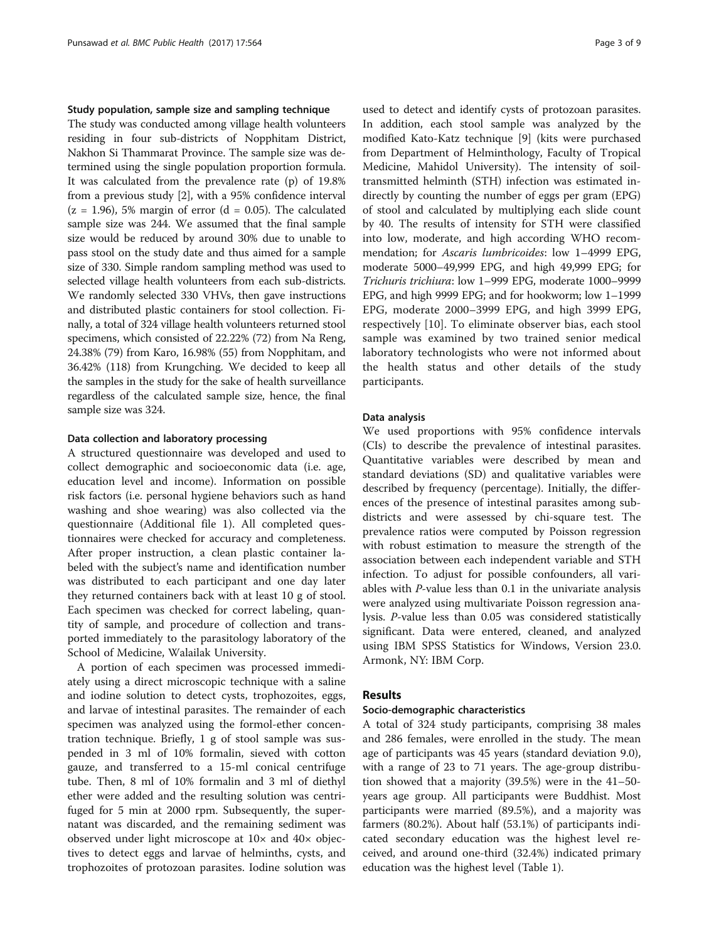## Study population, sample size and sampling technique

The study was conducted among village health volunteers residing in four sub-districts of Nopphitam District, Nakhon Si Thammarat Province. The sample size was determined using the single population proportion formula. It was calculated from the prevalence rate (p) of 19.8% from a previous study [\[2](#page-7-0)], with a 95% confidence interval  $(z = 1.96)$ , 5% margin of error  $(d = 0.05)$ . The calculated sample size was 244. We assumed that the final sample size would be reduced by around 30% due to unable to pass stool on the study date and thus aimed for a sample size of 330. Simple random sampling method was used to selected village health volunteers from each sub-districts. We randomly selected 330 VHVs, then gave instructions and distributed plastic containers for stool collection. Finally, a total of 324 village health volunteers returned stool specimens, which consisted of 22.22% (72) from Na Reng, 24.38% (79) from Karo, 16.98% (55) from Nopphitam, and 36.42% (118) from Krungching. We decided to keep all the samples in the study for the sake of health surveillance regardless of the calculated sample size, hence, the final sample size was 324.

### Data collection and laboratory processing

A structured questionnaire was developed and used to collect demographic and socioeconomic data (i.e. age, education level and income). Information on possible risk factors (i.e. personal hygiene behaviors such as hand washing and shoe wearing) was also collected via the questionnaire (Additional file [1\)](#page-7-0). All completed questionnaires were checked for accuracy and completeness. After proper instruction, a clean plastic container labeled with the subject's name and identification number was distributed to each participant and one day later they returned containers back with at least 10 g of stool. Each specimen was checked for correct labeling, quantity of sample, and procedure of collection and transported immediately to the parasitology laboratory of the School of Medicine, Walailak University.

A portion of each specimen was processed immediately using a direct microscopic technique with a saline and iodine solution to detect cysts, trophozoites, eggs, and larvae of intestinal parasites. The remainder of each specimen was analyzed using the formol-ether concentration technique. Briefly, 1 g of stool sample was suspended in 3 ml of 10% formalin, sieved with cotton gauze, and transferred to a 15-ml conical centrifuge tube. Then, 8 ml of 10% formalin and 3 ml of diethyl ether were added and the resulting solution was centrifuged for 5 min at 2000 rpm. Subsequently, the supernatant was discarded, and the remaining sediment was observed under light microscope at  $10\times$  and  $40\times$  objectives to detect eggs and larvae of helminths, cysts, and trophozoites of protozoan parasites. Iodine solution was

used to detect and identify cysts of protozoan parasites. In addition, each stool sample was analyzed by the modified Kato-Katz technique [[9\]](#page-7-0) (kits were purchased from Department of Helminthology, Faculty of Tropical Medicine, Mahidol University). The intensity of soiltransmitted helminth (STH) infection was estimated indirectly by counting the number of eggs per gram (EPG) of stool and calculated by multiplying each slide count by 40. The results of intensity for STH were classified into low, moderate, and high according WHO recommendation; for Ascaris lumbricoides: low 1–4999 EPG, moderate 5000–49,999 EPG, and high 49,999 EPG; for Trichuris trichiura: low 1–999 EPG, moderate 1000–9999 EPG, and high 9999 EPG; and for hookworm; low 1–1999 EPG, moderate 2000–3999 EPG, and high 3999 EPG, respectively [[10\]](#page-7-0). To eliminate observer bias, each stool sample was examined by two trained senior medical laboratory technologists who were not informed about the health status and other details of the study participants.

## Data analysis

We used proportions with 95% confidence intervals (CIs) to describe the prevalence of intestinal parasites. Quantitative variables were described by mean and standard deviations (SD) and qualitative variables were described by frequency (percentage). Initially, the differences of the presence of intestinal parasites among subdistricts and were assessed by chi-square test. The prevalence ratios were computed by Poisson regression with robust estimation to measure the strength of the association between each independent variable and STH infection. To adjust for possible confounders, all variables with P-value less than 0.1 in the univariate analysis were analyzed using multivariate Poisson regression analysis. P-value less than 0.05 was considered statistically significant. Data were entered, cleaned, and analyzed using IBM SPSS Statistics for Windows, Version 23.0. Armonk, NY: IBM Corp.

## Results

## Socio-demographic characteristics

A total of 324 study participants, comprising 38 males and 286 females, were enrolled in the study. The mean age of participants was 45 years (standard deviation 9.0), with a range of 23 to 71 years. The age-group distribution showed that a majority (39.5%) were in the 41–50 years age group. All participants were Buddhist. Most participants were married (89.5%), and a majority was farmers (80.2%). About half (53.1%) of participants indicated secondary education was the highest level received, and around one-third (32.4%) indicated primary education was the highest level (Table [1](#page-3-0)).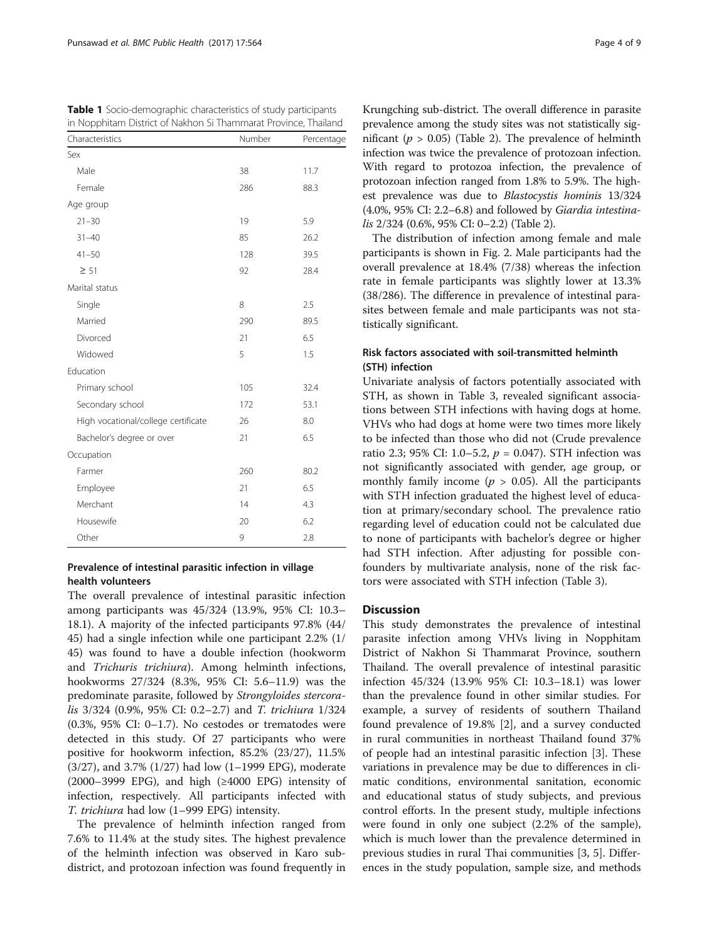| in Nopphitam District of Nakhon Si Thammarat Province, Thailand |        |            |
|-----------------------------------------------------------------|--------|------------|
| Characteristics                                                 | Number | Percentage |
| Sex                                                             |        |            |
| Male                                                            | 38     | 11.7       |
| Female                                                          | 286    | 88.3       |
| Age group                                                       |        |            |
| $21 - 30$                                                       | 19     | 5.9        |
| $31 - 40$                                                       | 85     | 26.2       |
| $41 - 50$                                                       | 128    | 39.5       |
| $\geq 51$                                                       | 92     | 28.4       |
| Marital status                                                  |        |            |
| Single                                                          | 8      | 2.5        |
| Married                                                         | 290    | 89.5       |
| Divorced                                                        | 21     | 6.5        |
| Widowed                                                         | 5      | 1.5        |
| Education                                                       |        |            |
| Primary school                                                  | 105    | 32.4       |
| Secondary school                                                | 172    | 53.1       |
| High vocational/college certificate                             | 26     | 8.0        |
| Bachelor's degree or over                                       | 21     | 6.5        |
| Occupation                                                      |        |            |
| Farmer                                                          | 260    | 80.2       |
| Employee                                                        | 21     | 6.5        |
| Merchant                                                        | 14     | 4.3        |
| Housewife                                                       | 20     | 6.2        |
| Other                                                           | 9      | 2.8        |

<span id="page-3-0"></span>Table 1 Socio-demographic characteristics of study participants

## Prevalence of intestinal parasitic infection in village health volunteers

The overall prevalence of intestinal parasitic infection among participants was 45/324 (13.9%, 95% CI: 10.3– 18.1). A majority of the infected participants 97.8% (44/ 45) had a single infection while one participant 2.2% (1/ 45) was found to have a double infection (hookworm and Trichuris trichiura). Among helminth infections, hookworms 27/324 (8.3%, 95% CI: 5.6–11.9) was the predominate parasite, followed by Strongyloides stercoralis 3/324 (0.9%, 95% CI: 0.2–2.7) and T. trichiura 1/324 (0.3%, 95% CI: 0–1.7). No cestodes or trematodes were detected in this study. Of 27 participants who were positive for hookworm infection, 85.2% (23/27), 11.5% (3/27), and 3.7% (1/27) had low (1–1999 EPG), moderate  $(2000-3999$  EPG), and high  $(\geq 4000$  EPG) intensity of infection, respectively. All participants infected with T. trichiura had low (1–999 EPG) intensity.

The prevalence of helminth infection ranged from 7.6% to 11.4% at the study sites. The highest prevalence of the helminth infection was observed in Karo subdistrict, and protozoan infection was found frequently in

Krungching sub-district. The overall difference in parasite prevalence among the study sites was not statistically significant ( $p > 0.05$ ) (Table [2\)](#page-4-0). The prevalence of helminth infection was twice the prevalence of protozoan infection. With regard to protozoa infection, the prevalence of protozoan infection ranged from 1.8% to 5.9%. The highest prevalence was due to Blastocystis hominis 13/324 (4.0%, 95% CI: 2.2–6.8) and followed by Giardia intestinalis 2/324 (0.6%, 95% CI: 0–2.2) (Table [2\)](#page-4-0).

The distribution of infection among female and male participants is shown in Fig. [2](#page-4-0). Male participants had the overall prevalence at 18.4% (7/38) whereas the infection rate in female participants was slightly lower at 13.3% (38/286). The difference in prevalence of intestinal parasites between female and male participants was not statistically significant.

## Risk factors associated with soil-transmitted helminth (STH) infection

Univariate analysis of factors potentially associated with STH, as shown in Table [3](#page-5-0), revealed significant associations between STH infections with having dogs at home. VHVs who had dogs at home were two times more likely to be infected than those who did not (Crude prevalence ratio 2.3; 95% CI: 1.0–5.2,  $p = 0.047$ ). STH infection was not significantly associated with gender, age group, or monthly family income ( $p > 0.05$ ). All the participants with STH infection graduated the highest level of education at primary/secondary school. The prevalence ratio regarding level of education could not be calculated due to none of participants with bachelor's degree or higher had STH infection. After adjusting for possible confounders by multivariate analysis, none of the risk factors were associated with STH infection (Table [3\)](#page-5-0).

## **Discussion**

This study demonstrates the prevalence of intestinal parasite infection among VHVs living in Nopphitam District of Nakhon Si Thammarat Province, southern Thailand. The overall prevalence of intestinal parasitic infection 45/324 (13.9% 95% CI: 10.3–18.1) was lower than the prevalence found in other similar studies. For example, a survey of residents of southern Thailand found prevalence of 19.8% [\[2](#page-7-0)], and a survey conducted in rural communities in northeast Thailand found 37% of people had an intestinal parasitic infection [\[3](#page-7-0)]. These variations in prevalence may be due to differences in climatic conditions, environmental sanitation, economic and educational status of study subjects, and previous control efforts. In the present study, multiple infections were found in only one subject (2.2% of the sample), which is much lower than the prevalence determined in previous studies in rural Thai communities [\[3](#page-7-0), [5](#page-7-0)]. Differences in the study population, sample size, and methods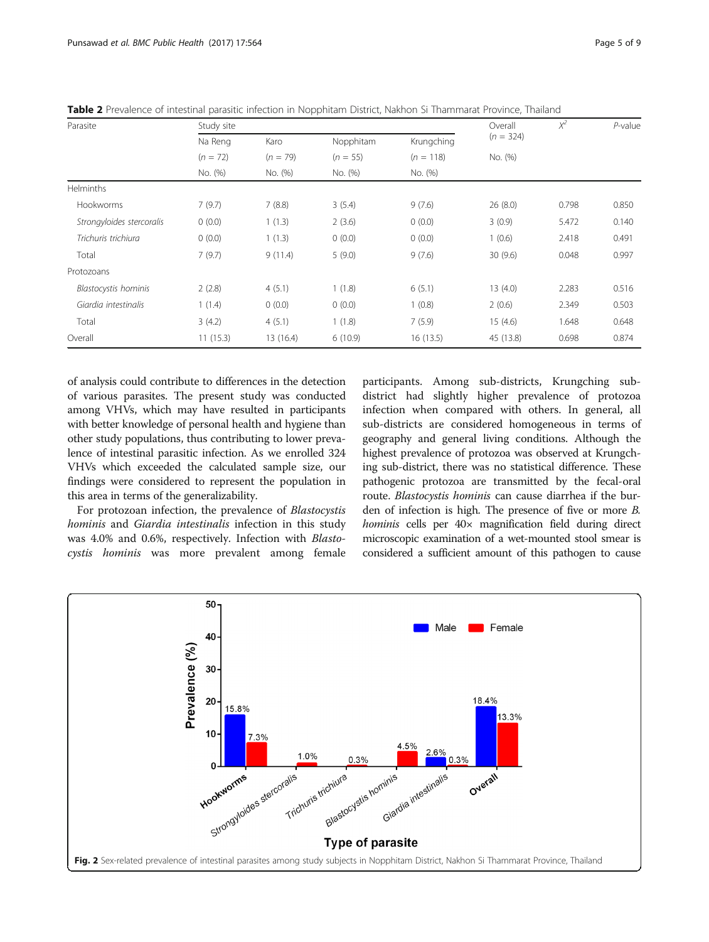| Parasite                    | Study site                       |                               |                                    |                                      | Overall     | $\chi^2$ | $P$ -value |
|-----------------------------|----------------------------------|-------------------------------|------------------------------------|--------------------------------------|-------------|----------|------------|
|                             | Na Reng<br>$(n = 72)$<br>No. (%) | Karo<br>$(n = 79)$<br>No. (%) | Nopphitam<br>$(n = 55)$<br>No. (%) | Krungching<br>$(n = 118)$<br>No. (%) | $(n = 324)$ |          |            |
|                             |                                  |                               |                                    |                                      | No. (%)     |          |            |
|                             |                                  |                               |                                    |                                      |             |          |            |
| <b>Helminths</b>            |                                  |                               |                                    |                                      |             |          |            |
| Hookworms                   | 7(9.7)                           | 7(8.8)                        | 3(5.4)                             | 9(7.6)                               | 26(8.0)     | 0.798    | 0.850      |
| Strongyloides stercoralis   | 0(0.0)                           | 1(1.3)                        | 2(3.6)                             | 0(0.0)                               | 3(0.9)      | 5.472    | 0.140      |
| Trichuris trichiura         | 0(0.0)                           | 1(1.3)                        | 0(0.0)                             | 0(0.0)                               | 1(0.6)      | 2.418    | 0.491      |
| Total                       | 7(9.7)                           | 9(11.4)                       | 5(9.0)                             | 9(7.6)                               | 30(9.6)     | 0.048    | 0.997      |
| Protozoans                  |                                  |                               |                                    |                                      |             |          |            |
| <b>Blastocystis hominis</b> | 2(2.8)                           | 4(5.1)                        | 1(1.8)                             | 6(5.1)                               | 13(4.0)     | 2.283    | 0.516      |
| Giardia intestinalis        | 1(1.4)                           | 0(0.0)                        | 0(0.0)                             | 1(0.8)                               | 2(0.6)      | 2.349    | 0.503      |
| Total                       | 3(4.2)                           | 4(5.1)                        | 1(1.8)                             | 7(5.9)                               | 15(4.6)     | 1.648    | 0.648      |
| Overall                     | 11(15.3)                         | 13 (16.4)                     | 6(10.9)                            | 16(13.5)                             | 45 (13.8)   | 0.698    | 0.874      |

<span id="page-4-0"></span>Table 2 Prevalence of intestinal parasitic infection in Nopphitam District, Nakhon Si Thammarat Province, Thailand

of analysis could contribute to differences in the detection of various parasites. The present study was conducted among VHVs, which may have resulted in participants with better knowledge of personal health and hygiene than other study populations, thus contributing to lower prevalence of intestinal parasitic infection. As we enrolled 324 VHVs which exceeded the calculated sample size, our findings were considered to represent the population in this area in terms of the generalizability.

For protozoan infection, the prevalence of Blastocystis hominis and Giardia intestinalis infection in this study was 4.0% and 0.6%, respectively. Infection with Blastocystis hominis was more prevalent among female participants. Among sub-districts, Krungching subdistrict had slightly higher prevalence of protozoa infection when compared with others. In general, all sub-districts are considered homogeneous in terms of geography and general living conditions. Although the highest prevalence of protozoa was observed at Krungching sub-district, there was no statistical difference. These pathogenic protozoa are transmitted by the fecal-oral route. Blastocystis hominis can cause diarrhea if the burden of infection is high. The presence of five or more B. hominis cells per 40× magnification field during direct microscopic examination of a wet-mounted stool smear is considered a sufficient amount of this pathogen to cause

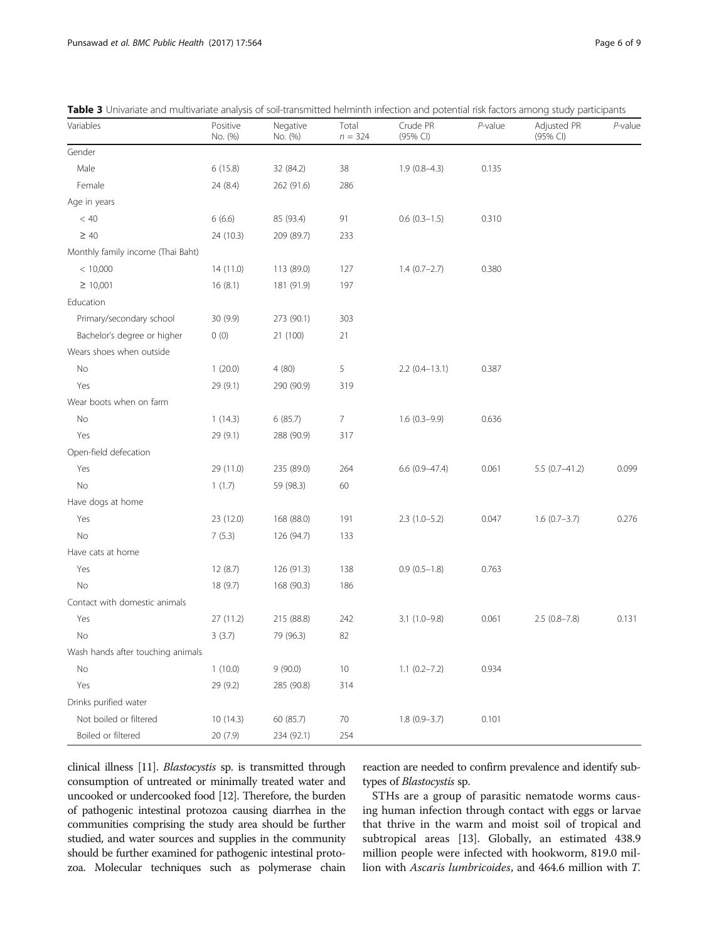| Variables                         | Positive<br>No. (%) | Negative<br>No. (%) | Total<br>$n = 324$ | Crude PR<br>(95% CI) | $P$ -value | Adjusted PR<br>(95% CI) | $P$ -value |
|-----------------------------------|---------------------|---------------------|--------------------|----------------------|------------|-------------------------|------------|
| Gender                            |                     |                     |                    |                      |            |                         |            |
| Male                              | 6(15.8)             | 32 (84.2)           | 38                 | $1.9(0.8-4.3)$       | 0.135      |                         |            |
| Female                            | 24 (8.4)            | 262 (91.6)          | 286                |                      |            |                         |            |
| Age in years                      |                     |                     |                    |                      |            |                         |            |
| $< 40$                            | 6(6.6)              | 85 (93.4)           | 91                 | $0.6(0.3-1.5)$       | 0.310      |                         |            |
| $\geq 40$                         | 24 (10.3)           | 209 (89.7)          | 233                |                      |            |                         |            |
| Monthly family income (Thai Baht) |                     |                     |                    |                      |            |                         |            |
| < 10,000                          | 14 (11.0)           | 113 (89.0)          | 127                | $1.4(0.7-2.7)$       | 0.380      |                         |            |
| $\geq 10,001$                     | 16(8.1)             | 181 (91.9)          | 197                |                      |            |                         |            |
| Education                         |                     |                     |                    |                      |            |                         |            |
| Primary/secondary school          | 30 (9.9)            | 273 (90.1)          | 303                |                      |            |                         |            |
| Bachelor's degree or higher       | 0(0)                | 21 (100)            | 21                 |                      |            |                         |            |
| Wears shoes when outside          |                     |                     |                    |                      |            |                         |            |
| No                                | 1(20.0)             | 4(80)               | 5                  | $2.2$ (0.4-13.1)     | 0.387      |                         |            |
| Yes                               | 29 (9.1)            | 290 (90.9)          | 319                |                      |            |                         |            |
| Wear boots when on farm           |                     |                     |                    |                      |            |                         |            |
| No                                | 1(14.3)             | 6(85.7)             | 7                  | $1.6(0.3-9.9)$       | 0.636      |                         |            |
| Yes                               | 29(9.1)             | 288 (90.9)          | 317                |                      |            |                         |            |
| Open-field defecation             |                     |                     |                    |                      |            |                         |            |
| Yes                               | 29 (11.0)           | 235 (89.0)          | 264                | $6.6(0.9-47.4)$      | 0.061      | $5.5(0.7-41.2)$         | 0.099      |
| No                                | 1(1.7)              | 59 (98.3)           | 60                 |                      |            |                         |            |
| Have dogs at home                 |                     |                     |                    |                      |            |                         |            |
| Yes                               | 23 (12.0)           | 168 (88.0)          | 191                | $2.3(1.0-5.2)$       | 0.047      | $1.6(0.7-3.7)$          | 0.276      |
| No                                | 7(5.3)              | 126 (94.7)          | 133                |                      |            |                         |            |
| Have cats at home                 |                     |                     |                    |                      |            |                         |            |
| Yes                               | 12(8.7)             | 126 (91.3)          | 138                | $0.9(0.5-1.8)$       | 0.763      |                         |            |
| No                                | 18 (9.7)            | 168 (90.3)          | 186                |                      |            |                         |            |
| Contact with domestic animals     |                     |                     |                    |                      |            |                         |            |
| Yes                               | 27 (11.2)           | 215 (88.8)          | 242                | $3.1(1.0-9.8)$       | 0.061      | $2.5(0.8 - 7.8)$        | 0.131      |
| No                                | 3(3.7)              | 79 (96.3)           | 82                 |                      |            |                         |            |
| Wash hands after touching animals |                     |                     |                    |                      |            |                         |            |
| No                                | 1(10.0)             | 9(90.0)             | 10                 | $1.1 (0.2 - 7.2)$    | 0.934      |                         |            |
| Yes                               | 29 (9.2)            | 285 (90.8)          | 314                |                      |            |                         |            |
| Drinks purified water             |                     |                     |                    |                      |            |                         |            |
| Not boiled or filtered            | 10(14.3)            | 60 (85.7)           | 70                 | $1.8(0.9 - 3.7)$     | 0.101      |                         |            |
| Boiled or filtered                | 20 (7.9)            | 234 (92.1)          | 254                |                      |            |                         |            |

<span id="page-5-0"></span>Table 3 Univariate and multivariate analysis of soil-transmitted helminth infection and potential risk factors among study participants

clinical illness [[11](#page-7-0)]. Blastocystis sp. is transmitted through consumption of untreated or minimally treated water and uncooked or undercooked food [[12](#page-7-0)]. Therefore, the burden of pathogenic intestinal protozoa causing diarrhea in the communities comprising the study area should be further studied, and water sources and supplies in the community should be further examined for pathogenic intestinal protozoa. Molecular techniques such as polymerase chain reaction are needed to confirm prevalence and identify subtypes of Blastocystis sp.

STHs are a group of parasitic nematode worms causing human infection through contact with eggs or larvae that thrive in the warm and moist soil of tropical and subtropical areas [\[13\]](#page-7-0). Globally, an estimated 438.9 million people were infected with hookworm, 819.0 million with Ascaris lumbricoides, and 464.6 million with T.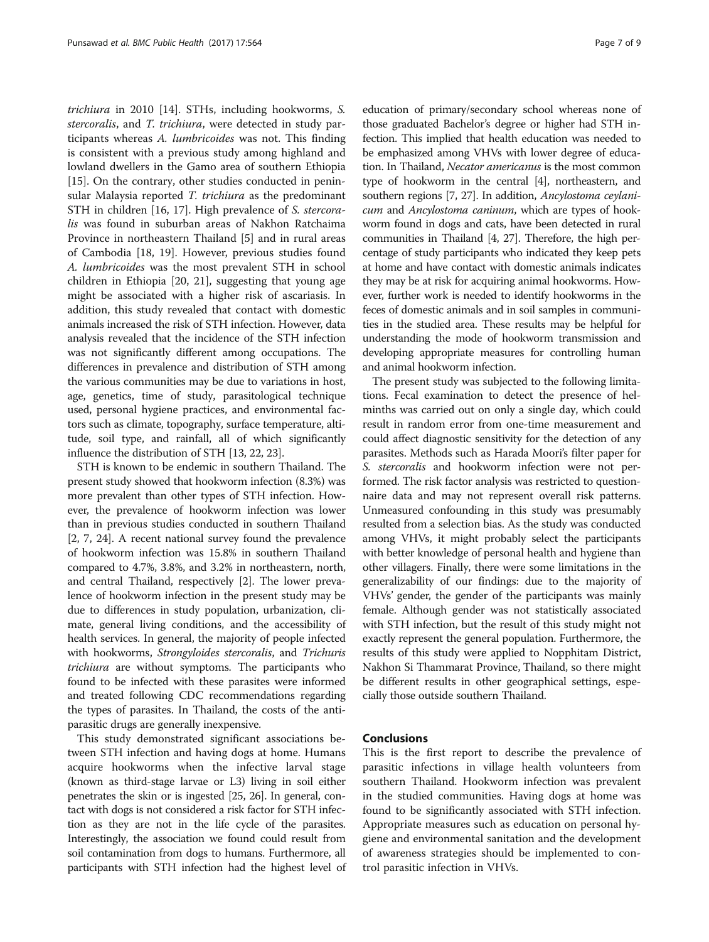trichiura in 2010 [[14\]](#page-7-0). STHs, including hookworms, S. stercoralis, and T. trichiura, were detected in study participants whereas A. lumbricoides was not. This finding is consistent with a previous study among highland and lowland dwellers in the Gamo area of southern Ethiopia [[15\]](#page-7-0). On the contrary, other studies conducted in peninsular Malaysia reported T. trichiura as the predominant STH in children [\[16](#page-7-0), [17](#page-7-0)]. High prevalence of S. stercoralis was found in suburban areas of Nakhon Ratchaima Province in northeastern Thailand [\[5](#page-7-0)] and in rural areas of Cambodia [[18, 19\]](#page-7-0). However, previous studies found A. lumbricoides was the most prevalent STH in school children in Ethiopia [[20, 21\]](#page-7-0), suggesting that young age might be associated with a higher risk of ascariasis. In addition, this study revealed that contact with domestic animals increased the risk of STH infection. However, data analysis revealed that the incidence of the STH infection was not significantly different among occupations. The differences in prevalence and distribution of STH among the various communities may be due to variations in host, age, genetics, time of study, parasitological technique used, personal hygiene practices, and environmental factors such as climate, topography, surface temperature, altitude, soil type, and rainfall, all of which significantly influence the distribution of STH [\[13](#page-7-0), [22](#page-7-0), [23\]](#page-7-0).

STH is known to be endemic in southern Thailand. The present study showed that hookworm infection (8.3%) was more prevalent than other types of STH infection. However, the prevalence of hookworm infection was lower than in previous studies conducted in southern Thailand [[2, 7](#page-7-0), [24\]](#page-7-0). A recent national survey found the prevalence of hookworm infection was 15.8% in southern Thailand compared to 4.7%, 3.8%, and 3.2% in northeastern, north, and central Thailand, respectively [[2\]](#page-7-0). The lower prevalence of hookworm infection in the present study may be due to differences in study population, urbanization, climate, general living conditions, and the accessibility of health services. In general, the majority of people infected with hookworms, Strongyloides stercoralis, and Trichuris trichiura are without symptoms. The participants who found to be infected with these parasites were informed and treated following CDC recommendations regarding the types of parasites. In Thailand, the costs of the antiparasitic drugs are generally inexpensive.

This study demonstrated significant associations between STH infection and having dogs at home. Humans acquire hookworms when the infective larval stage (known as third-stage larvae or L3) living in soil either penetrates the skin or is ingested [[25](#page-7-0), [26](#page-8-0)]. In general, contact with dogs is not considered a risk factor for STH infection as they are not in the life cycle of the parasites. Interestingly, the association we found could result from soil contamination from dogs to humans. Furthermore, all participants with STH infection had the highest level of education of primary/secondary school whereas none of those graduated Bachelor's degree or higher had STH infection. This implied that health education was needed to be emphasized among VHVs with lower degree of education. In Thailand, Necator americanus is the most common type of hookworm in the central [\[4\]](#page-7-0), northeastern, and southern regions [[7](#page-7-0), [27\]](#page-8-0). In addition, Ancylostoma ceylanicum and Ancylostoma caninum, which are types of hookworm found in dogs and cats, have been detected in rural communities in Thailand [[4](#page-7-0), [27](#page-8-0)]. Therefore, the high percentage of study participants who indicated they keep pets at home and have contact with domestic animals indicates they may be at risk for acquiring animal hookworms. However, further work is needed to identify hookworms in the feces of domestic animals and in soil samples in communities in the studied area. These results may be helpful for understanding the mode of hookworm transmission and developing appropriate measures for controlling human and animal hookworm infection.

The present study was subjected to the following limitations. Fecal examination to detect the presence of helminths was carried out on only a single day, which could result in random error from one-time measurement and could affect diagnostic sensitivity for the detection of any parasites. Methods such as Harada Moori's filter paper for S. stercoralis and hookworm infection were not performed. The risk factor analysis was restricted to questionnaire data and may not represent overall risk patterns. Unmeasured confounding in this study was presumably resulted from a selection bias. As the study was conducted among VHVs, it might probably select the participants with better knowledge of personal health and hygiene than other villagers. Finally, there were some limitations in the generalizability of our findings: due to the majority of VHVs' gender, the gender of the participants was mainly female. Although gender was not statistically associated with STH infection, but the result of this study might not exactly represent the general population. Furthermore, the results of this study were applied to Nopphitam District, Nakhon Si Thammarat Province, Thailand, so there might be different results in other geographical settings, especially those outside southern Thailand.

## Conclusions

This is the first report to describe the prevalence of parasitic infections in village health volunteers from southern Thailand. Hookworm infection was prevalent in the studied communities. Having dogs at home was found to be significantly associated with STH infection. Appropriate measures such as education on personal hygiene and environmental sanitation and the development of awareness strategies should be implemented to control parasitic infection in VHVs.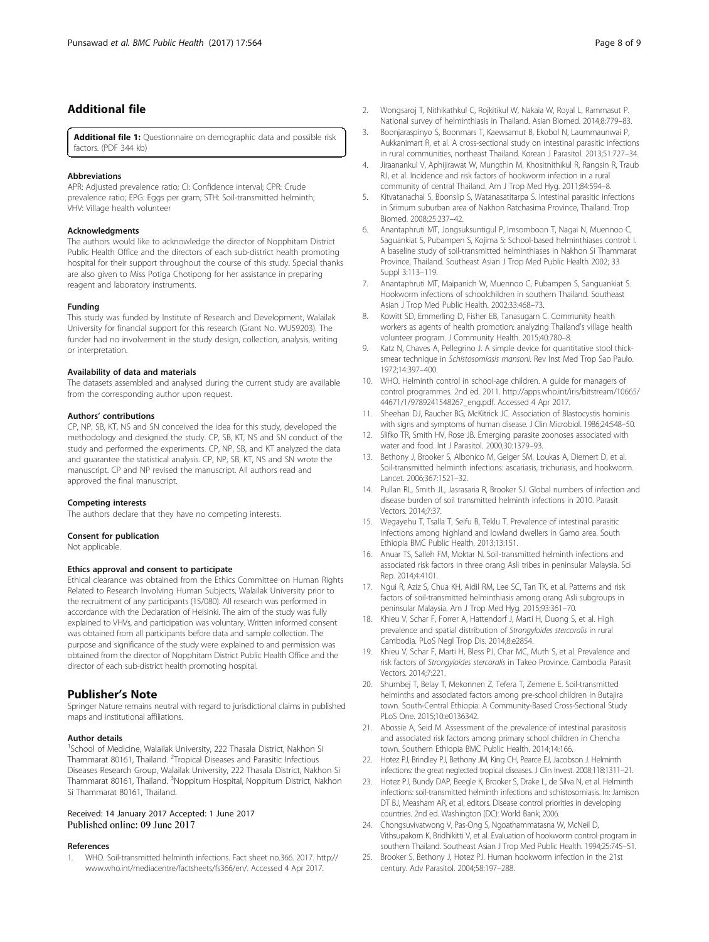## <span id="page-7-0"></span>Additional file

[Additional file 1:](dx.doi.org/10.1186/s12889-017-4486-2) Questionnaire on demographic data and possible risk factors. (PDF 344 kb)

#### Abbreviations

APR: Adjusted prevalence ratio; CI: Confidence interval; CPR: Crude prevalence ratio; EPG: Eggs per gram; STH: Soil-transmitted helminth; VHV: Village health volunteer

#### Acknowledgments

The authors would like to acknowledge the director of Nopphitam District Public Health Office and the directors of each sub-district health promoting hospital for their support throughout the course of this study. Special thanks are also given to Miss Potiga Chotipong for her assistance in preparing reagent and laboratory instruments.

#### Funding

This study was funded by Institute of Research and Development, Walailak University for financial support for this research (Grant No. WU59203). The funder had no involvement in the study design, collection, analysis, writing or interpretation.

#### Availability of data and materials

The datasets assembled and analysed during the current study are available from the corresponding author upon request.

#### Authors' contributions

CP, NP, SB, KT, NS and SN conceived the idea for this study, developed the methodology and designed the study. CP, SB, KT, NS and SN conduct of the study and performed the experiments. CP, NP, SB, and KT analyzed the data and guarantee the statistical analysis. CP, NP, SB, KT, NS and SN wrote the manuscript. CP and NP revised the manuscript. All authors read and approved the final manuscript.

#### Competing interests

The authors declare that they have no competing interests.

#### Consent for publication

Not applicable.

### Ethics approval and consent to participate

Ethical clearance was obtained from the Ethics Committee on Human Rights Related to Research Involving Human Subjects, Walailak University prior to the recruitment of any participants (15/080). All research was performed in accordance with the Declaration of Helsinki. The aim of the study was fully explained to VHVs, and participation was voluntary. Written informed consent was obtained from all participants before data and sample collection. The purpose and significance of the study were explained to and permission was obtained from the director of Nopphitam District Public Health Office and the director of each sub-district health promoting hospital.

## Publisher's Note

Springer Nature remains neutral with regard to jurisdictional claims in published maps and institutional affiliations.

#### Author details

<sup>1</sup>School of Medicine, Walailak University, 222 Thasala District, Nakhon Si Thammarat 80161, Thailand. <sup>2</sup> Tropical Diseases and Parasitic Infectious Diseases Research Group, Walailak University, 222 Thasala District, Nakhon Si Thammarat 80161, Thailand. <sup>3</sup>Noppitum Hospital, Noppitum District, Nakhon Si Thammarat 80161, Thailand.

## Received: 14 January 2017 Accepted: 1 June 2017 Published online: 09 June 2017

## References

1. WHO. Soil-transmitted helminth infections. Fact sheet no.366. 2017. [http://](http://www.who.int/mediacentre/factsheets/fs366/en) [www.who.int/mediacentre/factsheets/fs366/en/.](http://www.who.int/mediacentre/factsheets/fs366/en) Accessed 4 Apr 2017.

- 2. Wongsaroj T, Nithikathkul C, Rojkitikul W, Nakaia W, Royal L, Rammasut P. National survey of helminthiasis in Thailand. Asian Biomed. 2014;8:779–83.
- 3. Boonjaraspinyo S, Boonmars T, Kaewsamut B, Ekobol N, Laummaunwai P, Aukkanimart R, et al. A cross-sectional study on intestinal parasitic infections in rural communities, northeast Thailand. Korean J Parasitol. 2013;51:727–34.
- 4. Jiraanankul V, Aphijirawat W, Mungthin M, Khositnithikul R, Rangsin R, Traub RJ, et al. Incidence and risk factors of hookworm infection in a rural community of central Thailand. Am J Trop Med Hyg. 2011;84:594–8.
- 5. Kitvatanachai S, Boonslip S, Watanasatitarpa S. Intestinal parasitic infections in Srimum suburban area of Nakhon Ratchasima Province, Thailand. Trop Biomed. 2008;25:237–42.
- 6. Anantaphruti MT, Jongsuksuntigul P, Imsomboon T, Nagai N, Muennoo C, Saguankiat S, Pubampen S, Kojima S: School-based helminthiases control: I. A baseline study of soil-transmitted helminthiases in Nakhon Si Thammarat Province, Thailand. Southeast Asian J Trop Med Public Health 2002; 33 Suppl 3:113–119.
- 7. Anantaphruti MT, Maipanich W, Muennoo C, Pubampen S, Sanguankiat S. Hookworm infections of schoolchildren in southern Thailand. Southeast Asian J Trop Med Public Health. 2002;33:468–73.
- 8. Kowitt SD, Emmerling D, Fisher EB, Tanasugarn C. Community health workers as agents of health promotion: analyzing Thailand's village health volunteer program. J Community Health. 2015;40:780–8.
- Katz N, Chaves A, Pellegrino J. A simple device for quantitative stool thicksmear technique in Schistosomiasis mansoni. Rev Inst Med Trop Sao Paulo. 1972;14:397–400.
- 10. WHO. Helminth control in school-age children. A guide for managers of control programmes. 2nd ed. 2011. [http://apps.who.int/iris/bitstream/10665/](http://apps.who.int/iris/bitstream/10665/44671/1/9789241548267_eng.pdf) [44671/1/9789241548267\\_eng.pdf.](http://apps.who.int/iris/bitstream/10665/44671/1/9789241548267_eng.pdf) Accessed 4 Apr 2017.
- 11. Sheehan DJ, Raucher BG, McKitrick JC. Association of Blastocystis hominis with signs and symptoms of human disease. J Clin Microbiol. 1986;24:548–50.
- 12. Slifko TR, Smith HV, Rose JB. Emerging parasite zoonoses associated with water and food. Int J Parasitol. 2000;30:1379–93.
- 13. Bethony J, Brooker S, Albonico M, Geiger SM, Loukas A, Diemert D, et al. Soil-transmitted helminth infections: ascariasis, trichuriasis, and hookworm. Lancet. 2006;367:1521–32.
- 14. Pullan RL, Smith JL, Jasrasaria R, Brooker SJ. Global numbers of infection and disease burden of soil transmitted helminth infections in 2010. Parasit Vectors. 2014;7:37.
- 15. Wegayehu T, Tsalla T, Seifu B, Teklu T. Prevalence of intestinal parasitic infections among highland and lowland dwellers in Gamo area. South Ethiopia BMC Public Health. 2013;13:151.
- 16. Anuar TS, Salleh FM, Moktar N. Soil-transmitted helminth infections and associated risk factors in three orang Asli tribes in peninsular Malaysia. Sci Rep. 2014;4:4101.
- 17. Ngui R, Aziz S, Chua KH, Aidil RM, Lee SC, Tan TK, et al. Patterns and risk factors of soil-transmitted helminthiasis among orang Asli subgroups in peninsular Malaysia. Am J Trop Med Hyg. 2015;93:361–70.
- 18. Khieu V, Schar F, Forrer A, Hattendorf J, Marti H, Duong S, et al. High prevalence and spatial distribution of Strongyloides stercoralis in rural Cambodia. PLoS Negl Trop Dis. 2014;8:e2854.
- 19. Khieu V, Schar F, Marti H, Bless PJ, Char MC, Muth S, et al. Prevalence and risk factors of Strongyloides stercoralis in Takeo Province. Cambodia Parasit Vectors. 2014;7:221.
- 20. Shumbej T, Belay T, Mekonnen Z, Tefera T, Zemene E. Soil-transmitted helminths and associated factors among pre-school children in Butajira town. South-Central Ethiopia: A Community-Based Cross-Sectional Study PLoS One. 2015;10:e0136342.
- 21. Abossie A, Seid M. Assessment of the prevalence of intestinal parasitosis and associated risk factors among primary school children in Chencha town. Southern Ethiopia BMC Public Health. 2014;14:166.
- 22. Hotez PJ, Brindley PJ, Bethony JM, King CH, Pearce EJ, Jacobson J. Helminth infections: the great neglected tropical diseases. J Clin Invest. 2008;118:1311–21.
- 23. Hotez PJ, Bundy DAP, Beegle K, Brooker S, Drake L, de Silva N, et al. Helminth infections: soil-transmitted helminth infections and schistosomiasis. In: Jamison DT BJ, Measham AR, et al, editors. Disease control priorities in developing countries. 2nd ed. Washington (DC): World Bank; 2006.
- 24. Chongsuvivatwong V, Pas-Ong S, Ngoathammatasna W, McNeil D, Vithsupakorn K, Bridhikitti V, et al. Evaluation of hookworm control program in southern Thailand. Southeast Asian J Trop Med Public Health. 1994;25:745–51.
- 25. Brooker S, Bethony J, Hotez PJ. Human hookworm infection in the 21st century. Adv Parasitol. 2004;58:197–288.